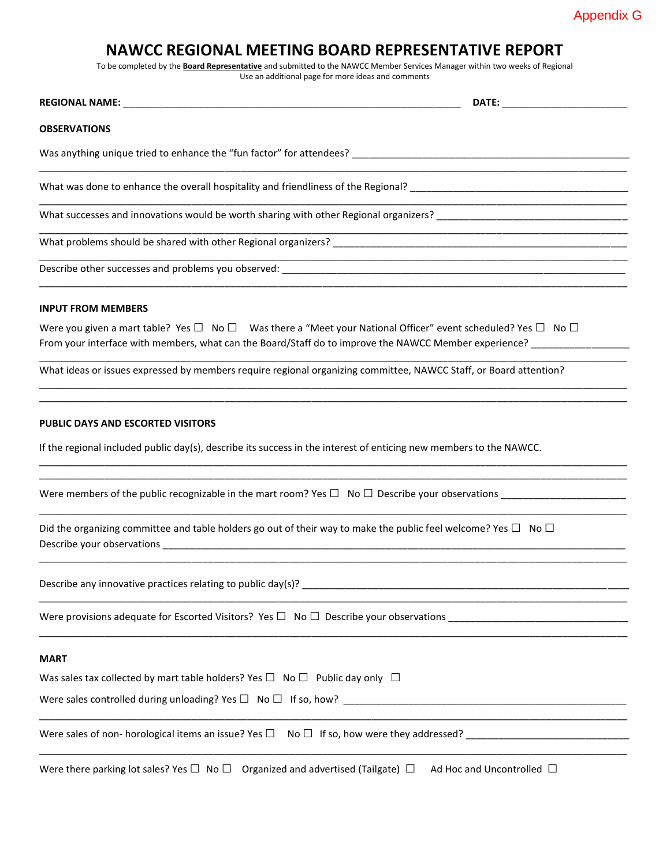## **NAWCC REGIONAL MEETING BOARD REPRESENTATIVE REPORT**

To be completed by the **Board Representative** and submitted to the NAWCC Member Services Manager within two weeks of Regional Use an additional page for more ideas and comments

| Use an additional page for more ideas and comments                                                                                                                                                                                                       |  |
|----------------------------------------------------------------------------------------------------------------------------------------------------------------------------------------------------------------------------------------------------------|--|
|                                                                                                                                                                                                                                                          |  |
| <b>OBSERVATIONS</b>                                                                                                                                                                                                                                      |  |
|                                                                                                                                                                                                                                                          |  |
|                                                                                                                                                                                                                                                          |  |
|                                                                                                                                                                                                                                                          |  |
|                                                                                                                                                                                                                                                          |  |
|                                                                                                                                                                                                                                                          |  |
| <b>INPUT FROM MEMBERS</b>                                                                                                                                                                                                                                |  |
| Were you given a mart table? Yes $\Box$ No $\Box$ Was there a "Meet your National Officer" event scheduled? Yes $\Box$ No $\Box$<br>From your interface with members, what can the Board/Staff do to improve the NAWCC Member experience? ______________ |  |
| What ideas or issues expressed by members require regional organizing committee, NAWCC Staff, or Board attention?                                                                                                                                        |  |
| <b>PUBLIC DAYS AND ESCORTED VISITORS</b>                                                                                                                                                                                                                 |  |
| If the regional included public day(s), describe its success in the interest of enticing new members to the NAWCC.                                                                                                                                       |  |
| Were members of the public recognizable in the mart room? Yes $\Box$ No $\Box$ Describe your observations                                                                                                                                                |  |
| Did the organizing committee and table holders go out of their way to make the public feel welcome? Yes $\Box$ No $\Box$                                                                                                                                 |  |
|                                                                                                                                                                                                                                                          |  |
| Were provisions adequate for Escorted Visitors? Yes $\Box$ No $\Box$ Describe your observations                                                                                                                                                          |  |
| <b>MART</b>                                                                                                                                                                                                                                              |  |
| Was sales tax collected by mart table holders? Yes $\Box$ No $\Box$ Public day only $\Box$                                                                                                                                                               |  |
|                                                                                                                                                                                                                                                          |  |
| Were sales of non- horological items an issue? Yes $\square$ No $\square$ If so, how were they addressed?                                                                                                                                                |  |
| Were there parking lot sales? Yes $\Box$ No $\Box$ Organized and advertised (Tailgate) $\Box$ Ad Hoc and Uncontrolled $\Box$                                                                                                                             |  |